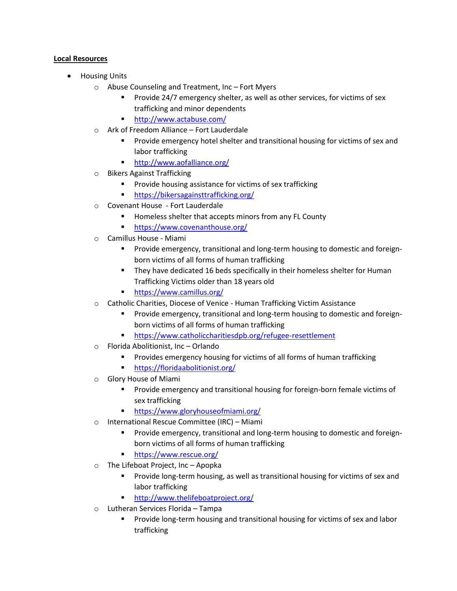## **Local Resources**

- Housing Units
	- o Abuse Counseling and Treatment, Inc Fort Myers
		- Provide 24/7 emergency shelter, as well as other services, for victims of sex trafficking and minor dependents
		- <http://www.actabuse.com/>
	- o Ark of Freedom Alliance Fort Lauderdale
		- Provide emergency hotel shelter and transitional housing for victims of sex and labor trafficking
		- <http://www.aofalliance.org/>
	- o Bikers Against Trafficking
		- Provide housing assistance for victims of sex trafficking
		- <https://bikersagainsttrafficking.org/>
	- o Covenant House Fort Lauderdale
		- Homeless shelter that accepts minors from any FL County
		- <https://www.covenanthouse.org/>
	- o Camillus House Miami
		- **Provide emergency, transitional and long-term housing to domestic and foreign**born victims of all forms of human trafficking
		- **They have dedicated 16 beds specifically in their homeless shelter for Human** Trafficking Victims older than 18 years old
		- <https://www.camillus.org/>
	- o Catholic Charities, Diocese of Venice Human Trafficking Victim Assistance
		- **Provide emergency, transitional and long-term housing to domestic and foreign**born victims of all forms of human trafficking
		- <https://www.catholiccharitiesdpb.org/refugee-resettlement>
	- o Florida Abolitionist, Inc Orlando
		- **Provides emergency housing for victims of all forms of human trafficking**
		- <https://floridaabolitionist.org/>
	- o Glory House of Miami
		- **Provide emergency and transitional housing for foreign-born female victims of** sex trafficking
		- <https://www.gloryhouseofmiami.org/>
	- o International Rescue Committee (IRC) Miami
		- Provide emergency, transitional and long-term housing to domestic and foreignborn victims of all forms of human trafficking
		- <https://www.rescue.org/>
	- o The Lifeboat Project, Inc Apopka
		- Provide long-term housing, as well as transitional housing for victims of sex and labor trafficking
		- <http://www.thelifeboatproject.org/>
	- o Lutheran Services Florida Tampa
		- Provide long-term housing and transitional housing for victims of sex and labor trafficking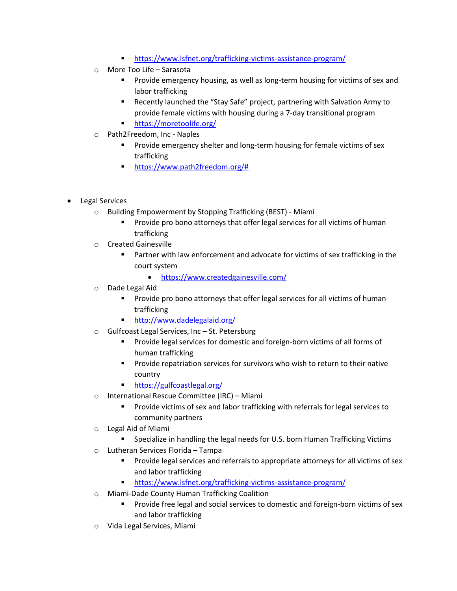- <https://www.lsfnet.org/trafficking-victims-assistance-program/>
- o More Too Life Sarasota
	- **Provide emergency housing, as well as long-term housing for victims of sex and** labor trafficking
	- Recently launched the "Stay Safe" project, partnering with Salvation Army to provide female victims with housing during a 7-day transitional program
	- <https://moretoolife.org/>
- o Path2Freedom, Inc Naples
	- Provide emergency shelter and long-term housing for female victims of sex trafficking
		- **[https://www.path2freedom.org/#](https://www.path2freedom.org/)**
- Legal Services
	- o Building Empowerment by Stopping Trafficking (BEST) Miami
		- Provide pro bono attorneys that offer legal services for all victims of human trafficking
	- o Created Gainesville
		- Partner with law enforcement and advocate for victims of sex trafficking in the court system
			- <https://www.createdgainesville.com/>
	- o Dade Legal Aid
		- **Provide pro bono attorneys that offer legal services for all victims of human** trafficking
		- **<http://www.dadelegalaid.org/>**
	- o Gulfcoast Legal Services, Inc St. Petersburg
		- Provide legal services for domestic and foreign-born victims of all forms of human trafficking
		- Provide repatriation services for survivors who wish to return to their native country
		- **<https://gulfcoastlegal.org/>**
	- o International Rescue Committee (IRC) Miami
		- Provide victims of sex and labor trafficking with referrals for legal services to community partners
	- o Legal Aid of Miami
		- **Specialize in handling the legal needs for U.S. born Human Trafficking Victims**
	- o Lutheran Services Florida Tampa
		- Provide legal services and referrals to appropriate attorneys for all victims of sex and labor trafficking
		- <https://www.lsfnet.org/trafficking-victims-assistance-program/>
	- o Miami-Dade County Human Trafficking Coalition
		- Provide free legal and social services to domestic and foreign-born victims of sex and labor trafficking
	- o Vida Legal Services, Miami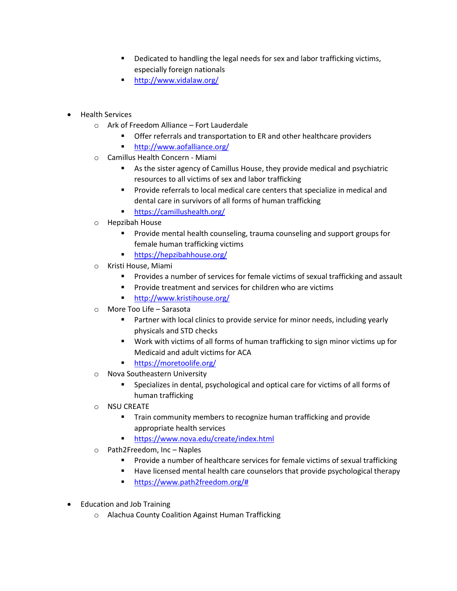- Dedicated to handling the legal needs for sex and labor trafficking victims, especially foreign nationals
- <http://www.vidalaw.org/>
- Health Services
	- o Ark of Freedom Alliance Fort Lauderdale
		- **•** Offer referrals and transportation to ER and other healthcare providers
		- <http://www.aofalliance.org/>
	- o Camillus Health Concern Miami
		- As the sister agency of Camillus House, they provide medical and psychiatric resources to all victims of sex and labor trafficking
		- **Provide referrals to local medical care centers that specialize in medical and** dental care in survivors of all forms of human trafficking
		- <https://camillushealth.org/>
	- o Hepzibah House
		- **Provide mental health counseling, trauma counseling and support groups for** female human trafficking victims
		- <https://hepzibahhouse.org/>
	- o Kristi House, Miami
		- Provides a number of services for female victims of sexual trafficking and assault
		- **Provide treatment and services for children who are victims**
		- <http://www.kristihouse.org/>
	- o More Too Life Sarasota
		- Partner with local clinics to provide service for minor needs, including yearly physicals and STD checks
		- Work with victims of all forms of human trafficking to sign minor victims up for Medicaid and adult victims for ACA
		- **<https://moretoolife.org/>**
	- o Nova Southeastern University
		- Specializes in dental, psychological and optical care for victims of all forms of human trafficking
	- o NSU CREATE
		- **Train community members to recognize human trafficking and provide** appropriate health services
		- **<https://www.nova.edu/create/index.html>**
	- o Path2Freedom, Inc Naples
		- Provide a number of healthcare services for female victims of sexual trafficking
		- Have licensed mental health care counselors that provide psychological therapy
		- [https://www.path2freedom.org/#](https://www.path2freedom.org/)
- Education and Job Training
	- o Alachua County Coalition Against Human Trafficking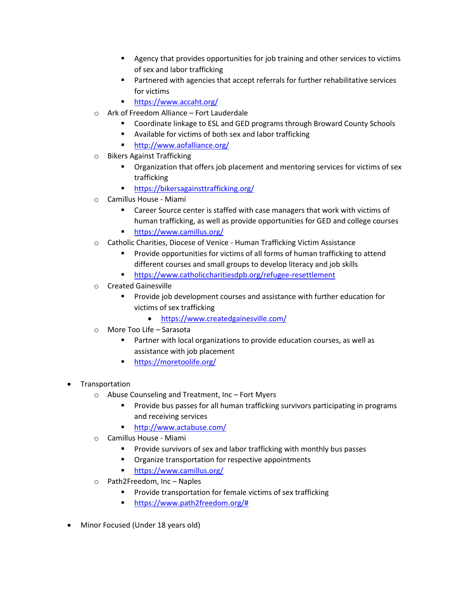- Agency that provides opportunities for job training and other services to victims of sex and labor trafficking
- Partnered with agencies that accept referrals for further rehabilitative services for victims
- <https://www.accaht.org/>
- o Ark of Freedom Alliance Fort Lauderdale
	- **E** Coordinate linkage to ESL and GED programs through Broward County Schools
	- Available for victims of both sex and labor trafficking
	- <http://www.aofalliance.org/>
- o Bikers Against Trafficking
	- Organization that offers job placement and mentoring services for victims of sex trafficking
	- **<https://bikersagainsttrafficking.org/>**
- o Camillus House Miami
	- Career Source center is staffed with case managers that work with victims of human trafficking, as well as provide opportunities for GED and college courses
	- <https://www.camillus.org/>
- o Catholic Charities, Diocese of Venice Human Trafficking Victim Assistance
	- Provide opportunities for victims of all forms of human trafficking to attend different courses and small groups to develop literacy and job skills
	- <https://www.catholiccharitiesdpb.org/refugee-resettlement>
- o Created Gainesville
	- Provide job development courses and assistance with further education for victims of sex trafficking
		- <https://www.createdgainesville.com/>
- o More Too Life Sarasota
	- **Partner with local organizations to provide education courses, as well as** assistance with job placement
	- **<https://moretoolife.org/>**
- Transportation
	- o Abuse Counseling and Treatment, Inc Fort Myers
		- **Provide bus passes for all human trafficking survivors participating in programs** and receiving services
		- <http://www.actabuse.com/>
	- o Camillus House Miami
		- Provide survivors of sex and labor trafficking with monthly bus passes
		- Organize transportation for respective appointments
		- <https://www.camillus.org/>
	- o Path2Freedom, Inc Naples
		- Provide transportation for female victims of sex trafficking
		- [https://www.path2freedom.org/#](https://www.path2freedom.org/)
- Minor Focused (Under 18 years old)